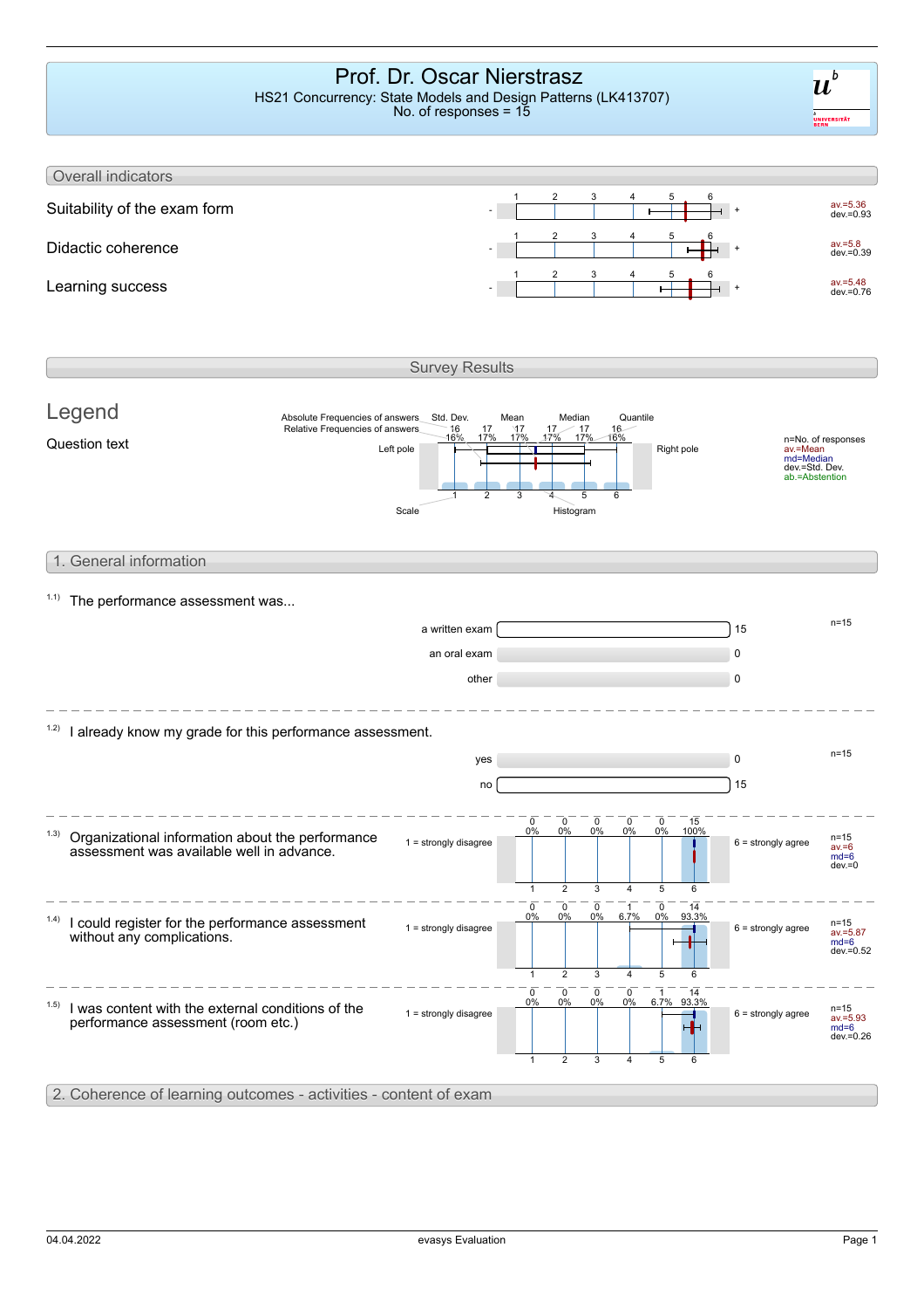### Prof. Dr. Oscar Nierstrasz HS21 Concurrency: State Models and Design Patterns (LK413707)

No. of responses = 15

 $\boldsymbol{u}^{\textit{b}}$ .<br>UNIVERSITÄT<br>BERN



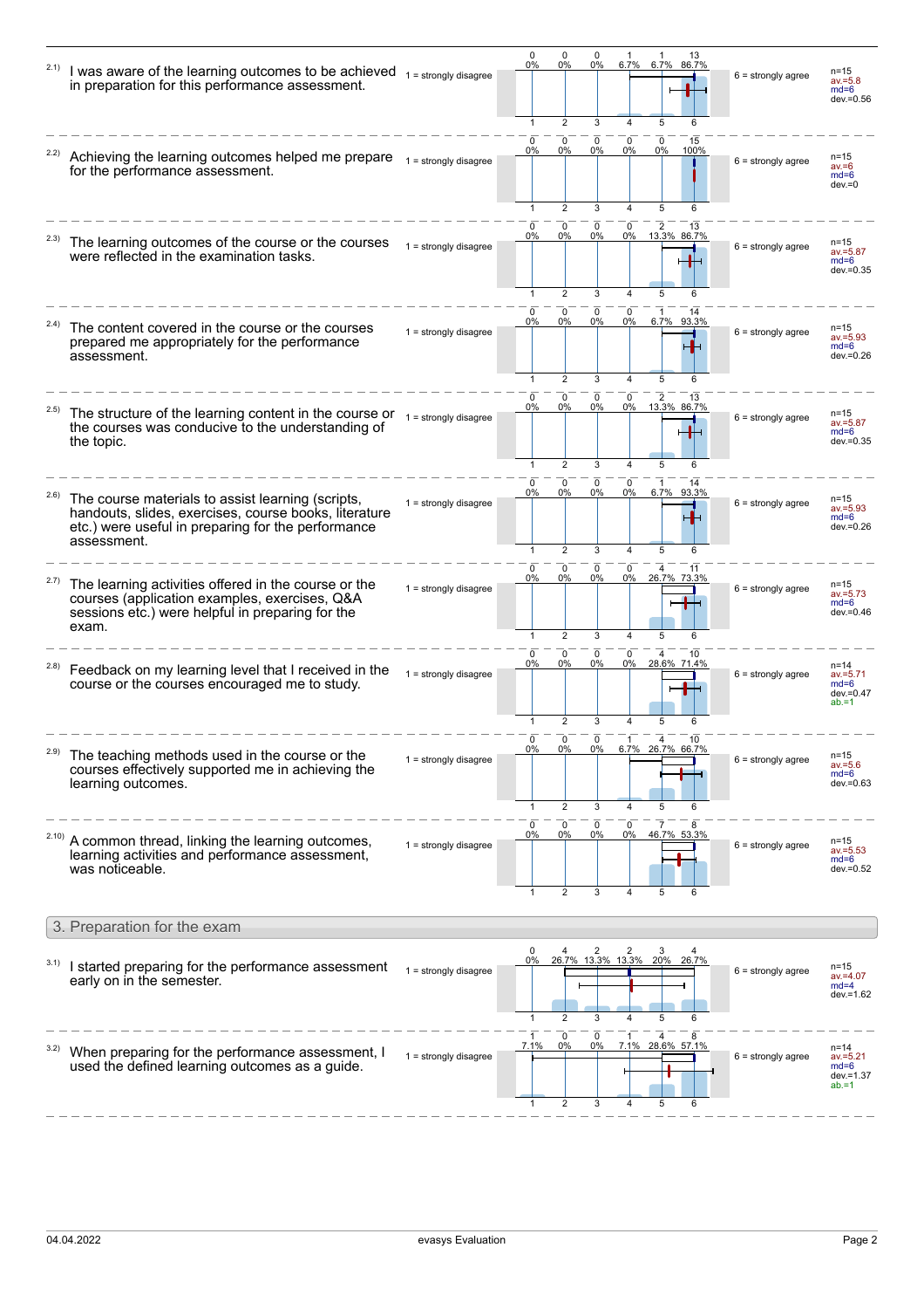|       | I was aware of the learning outcomes to be achieved $1 = \frac{1}{1}$ = strongly disagree<br>in preparation for this performance assessment.                                    |                         | 0<br>0%                        | 0<br>0%<br>2                 | 0<br>0%<br>3           | 6.7%<br>4                      | 6.7%<br>86.7%<br>5<br>6                       | $6 =$ strongly agree | $n = 15$<br>$av = 5.8$<br>$md=6$<br>dev.=0.56              |
|-------|---------------------------------------------------------------------------------------------------------------------------------------------------------------------------------|-------------------------|--------------------------------|------------------------------|------------------------|--------------------------------|-----------------------------------------------|----------------------|------------------------------------------------------------|
|       | Achieving the learning outcomes helped me prepare<br>for the performance assessment.                                                                                            | $1 =$ strongly disagree | <sup>0</sup><br>0%<br>1        | 0<br>0%<br>$\overline{2}$    | 0<br>0%<br>3           | 0<br>0%<br>4                   | $\mathbf 0$<br>15<br>$0\%$<br>100%<br>5       | $6 =$ strongly agree | n=15<br>$av = 6$<br>$md=6$<br>$dev = 0$                    |
|       | The learning outcomes of the course or the courses<br>were reflected in the examination tasks.                                                                                  | $1 =$ strongly disagree | 0<br>$0\%$<br>$\mathbf{1}$     | 0<br>$0\%$<br>$\overline{2}$ | 0<br>$0\%$<br>3        | $\overline{4}$                 | 0 2 13<br>0% 13.3% 86.7%<br>5                 | $6 =$ strongly agree | n=15<br>$av = 5.87$<br>$md=6$<br>$dev = 0.35$              |
|       | The content covered in the course or the courses<br>prepared me appropriately for the performance<br>assessment.                                                                | $1 =$ strongly disagree | 0<br>0%<br>1                   | 0<br>0%<br>$\overline{2}$    | 0<br>$0\%$<br>3        | 0<br>0%<br>4                   | 1<br>6.7%<br>93.3%<br>5                       | $6 =$ strongly agree | n=15<br>$av = 5.93$<br>$md=6$<br>dev.=0.26                 |
|       | The structure of the learning content in the course or $1 = \frac{1}{1}$ = strongly disagree<br>the courses was conducive to the understanding of<br>the topic.                 |                         | $\Omega$<br>0%<br>$\mathbf{1}$ | 0<br>0%<br>$\overline{2}$    | 0<br>0%<br>3           | 0<br>0%<br>$\overline{4}$      | 13.3% 86.7%<br>5                              | $6 =$ strongly agree | n=15<br>$av = 5.87$<br>$md=6$<br>$dev = 0.35$              |
| 2.6)  | The course materials to assist learning (scripts,<br>handouts, slides, exercises, course books, literature<br>etc.) were useful in preparing for the performance<br>assessment. | $1 =$ strongly disagree | <sup>0</sup><br>0%             | 0<br>0%<br>2                 | $\Omega$<br>0%<br>3    | 0<br>0%                        | 6.7% 93.3%<br>5                               | $6 =$ strongly agree | $n = 15$<br>$av = 5.93$<br>$md=6$<br>dev.=0.26             |
| 2.7)  | The learning activities offered in the course or the<br>courses (application examples, exercises, Q&A<br>sessions etc.) were helpful in preparing for the<br>exam.              | $1 =$ strongly disagree | 0<br>0%                        | 0<br>0%<br>2                 | $\mathbf 0$<br>0%<br>3 | $^{\circ}$<br>0%<br>4          | 4<br>11<br>26.7% 73.3%                        | $6 =$ strongly agree | $n = 15$<br>$av = 5.73$<br>$md=6$<br>dev.=0.46             |
| (2.8) | Feedback on my learning level that I received in the<br>course or the courses encouraged me to study.                                                                           | $1 =$ strongly disagree | $\Omega$<br>0%                 | 0<br>0%<br>2                 | 0<br>0%<br>3           | 0<br>0%                        | 28.6% 71.4%<br>5<br>6                         | $6 =$ strongly agree | $n = 14$<br>$av = 5.71$<br>$md=6$<br>dev.=0.47<br>$ab = 1$ |
| 2.9)  | The teaching methods used in the course or the<br>courses effectively supported me in achieving the<br>learning outcomes.                                                       | $1 =$ strongly disagree | 0<br>0%<br>1                   | 0<br>0%<br>$\overline{2}$    | 0<br>0%<br>3           | 1<br>$6.7\%$<br>$\overline{4}$ | 10<br>4<br>26.7% 66.7%<br>5<br>6              | $6 =$ strongly agree | $n = 15$<br>$av = 5.6$<br>$md=6$<br>dev.=0.63              |
|       | A common thread, linking the learning outcomes,<br>learning activities and performance assessment,<br>was noticeable.                                                           | $1 =$ strongly disagree | $\mathbf 0$<br>0%              | 0<br>0%<br>$\overline{2}$    | 0<br>0%<br>3           | 0<br>0%                        | $\overline{7}$<br>46.7% 53.3%                 | $6 =$ strongly agree | n=15<br>$av = 5.53$<br>$md=6$<br>dev.=0.52                 |
|       | 3. Preparation for the exam                                                                                                                                                     |                         |                                |                              |                        |                                |                                               |                      |                                                            |
| 3.1)  | I started preparing for the performance assessment<br>early on in the semester.                                                                                                 | $1 =$ strongly disagree | 0%                             | $\overline{2}$               | 3                      |                                | 4 2 2 3 4<br>26.7% 13.3% 13.3% 20% 26.7%<br>6 | $6 =$ strongly agree | $n = 15$<br>$av = 4.07$<br>$md=4$<br>$dev = 1.62$          |
|       | When preparing for the performance assessment, I<br>used the defined learning outcomes as a guide.                                                                              | $1 =$ strongly disagree | 7.1%<br>1                      | 0<br>0%<br>2                 | 0<br>0%<br>3           | 4                              | 7.1% 28.6% 57.1%<br>5<br>6                    | $6 =$ strongly agree | $n = 14$<br>$av = 5.21$<br>$md=6$<br>dev.=1.37<br>$ab = 1$ |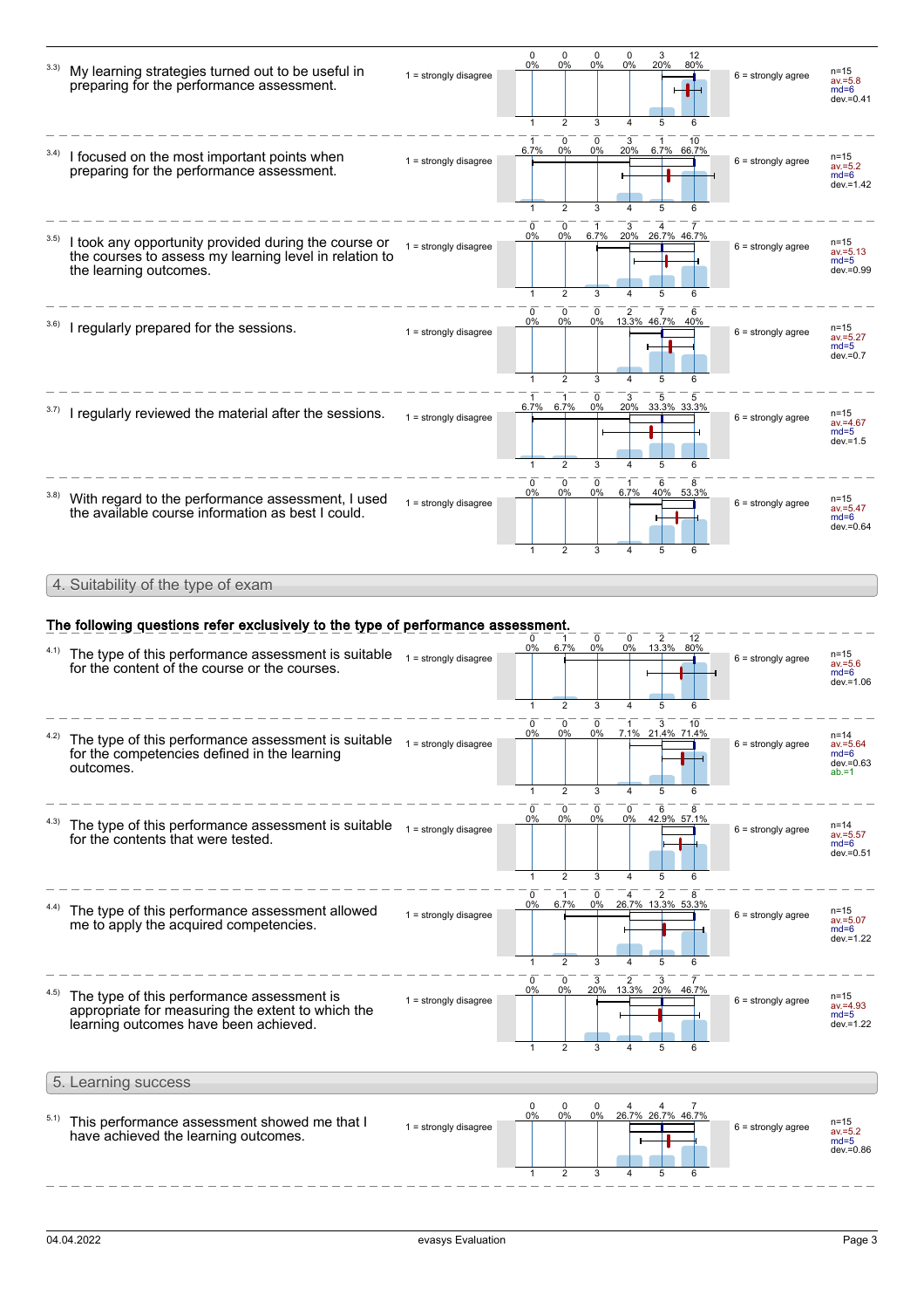| 3.3) | My learning strategies turned out to be useful in<br>preparing for the performance assessment.                                           | $1 =$ strongly disagree | $\mathbf 0$<br>0%<br>1            | 0<br>0%<br>$\overline{2}$           | 0<br>0%<br>3    | 0<br>0%<br>4                     | 3<br>12<br>20%<br>80%                       | $6 =$ strongly agree | n=15<br>$av = 5.8$<br>$md=6$<br>dev.=0.41              |
|------|------------------------------------------------------------------------------------------------------------------------------------------|-------------------------|-----------------------------------|-------------------------------------|-----------------|----------------------------------|---------------------------------------------|----------------------|--------------------------------------------------------|
|      | I focused on the most important points when<br>preparing for the performance assessment.                                                 | $1 =$ strongly disagree | 6.7%                              | 0<br>0%<br>$\overline{2}$           | 0<br>0%         | 3<br>20%                         | 10<br>6.7% 66.7%<br>5                       | $6 =$ strongly agree | n=15<br>$av = 5.2$<br>$md=6$<br>$dev = 1.42$           |
| 3.5) | I took any opportunity provided during the course or<br>the courses to assess my learning level in relation to<br>the learning outcomes. | $1 =$ strongly disagree | 0<br>0%<br>1                      | 0<br>0%<br>2                        | 1<br>6.7%<br>3  |                                  | 3 4 7<br>20% 26.7% 46.7%<br>5<br>6          | $6 =$ strongly agree | $n = 15$<br>$av = 5.13$<br>$md=5$<br>dev.=0.99         |
|      | I regularly prepared for the sessions.                                                                                                   | $1 =$ strongly disagree | 0<br>0%<br>1                      | 0<br>0%<br>$\overline{2}$           | 0<br>0%<br>3    | $\overline{2}$<br>4              | $\overline{7}$<br>6<br>13.3% 46.7% 40%<br>5 | $6 =$ strongly agree | n=15<br>$av = 5.27$<br>$md=5$<br>$dev = 0.7$           |
|      | I regularly reviewed the material after the sessions.                                                                                    | $1 =$ strongly disagree | 6.7%<br>1                         | 1<br>6.7%<br>$\overline{2}$         | 0<br>0%<br>3    | 3<br>$\Delta$                    | 20% 33.3% 33.3%<br>5<br>6                   | $6 =$ strongly agree | $n = 15$<br>av.=4.67<br>$md=5$<br>$dev = 1.5$          |
| 3.8) | With regard to the performance assessment, I used<br>the available course information as best I could.                                   | $1 =$ strongly disagree | 0<br>0%<br>$\mathbf{1}$           | 0<br>0%<br>$\overline{2}$           | 0<br>$0\%$<br>3 | 1<br>6.7%                        | 6<br>8<br>40%<br>53.3%<br>5                 | $6 =$ strongly agree | n=15<br>$av = 5.47$<br>$md=6$<br>dev.=0.64             |
|      | 4. Suitability of the type of exam                                                                                                       |                         |                                   |                                     |                 |                                  |                                             |                      |                                                        |
|      |                                                                                                                                          |                         |                                   |                                     |                 |                                  |                                             |                      |                                                        |
|      | The following questions refer exclusively to the type of performance assessment.                                                         |                         |                                   |                                     |                 |                                  |                                             |                      |                                                        |
|      |                                                                                                                                          |                         | 0                                 |                                     |                 |                                  |                                             |                      |                                                        |
| 4.1) | The type of this performance assessment is suitable $_{1}$ = strongly disagree<br>for the content of the course or the courses.          |                         | $0\%$<br>1                        | 6.7%<br>$\overline{2}$              | 0<br>$0\%$<br>3 | 0<br>0%<br>$\overline{4}$        | $\overline{2}$<br>12<br>13.3% 80%<br>5<br>6 | $6 =$ strongly agree | n=15<br>$av = 5.6$<br>$md=6$<br>$dev = 1.06$           |
|      | The type of this performance assessment is suitable<br>for the competencies defined in the learning<br>outcomes.                         | $1 =$ strongly disagree | 0<br>0%<br>1                      | 0<br>0%<br>$\overline{2}$           | 0<br>0%<br>3    | 1                                | 3<br>10<br>7.1% 21.4% 71.4%<br>5<br>6       | $6 =$ strongly agree | n=14<br>$av = 5.64$<br>$md=6$<br>dev.=0.63<br>$ab = 1$ |
|      | The type of this performance assessment is suitable<br>for the contents that were tested.                                                | $1 =$ strongly disagree | $\mathbf 0$<br>0%<br>$\mathbf{1}$ | $\mathbf 0$<br>0%<br>$\overline{2}$ | 0<br>$0\%$<br>3 | 0<br>0%<br>4                     | 6<br>8<br>42.9% 57.1%<br>5                  | $6 =$ strongly agree | n=14<br>$av = 5.57$<br>$md=6$<br>dev.=0.51             |
|      | The type of this performance assessment allowed<br>me to apply the acquired competencies.                                                | $1 =$ strongly disagree | 0%<br>1                           | 6.7%<br>$\overline{2}$              | 0%              |                                  | 26.7% 13.3% 53.3%<br>5<br>6                 | $6 =$ strongly agree | n=15<br>$av = 5.07$<br>$md=6$<br>dev.=1.22             |
|      | The type of this performance assessment is<br>appropriate for measuring the extent to which the<br>learning outcomes have been achieved. | $1 =$ strongly disagree | 0<br>0%                           | 0<br>0%                             | 3<br>20%        | $\overline{\mathbf{c}}$<br>13.3% | 3<br>20%<br>46.7%                           | $6 =$ strongly agree | $n = 15$<br>$av = 4.93$<br>$md=5$<br>dev.=1.22         |
|      | 5. Learning success                                                                                                                      |                         |                                   |                                     |                 |                                  |                                             |                      |                                                        |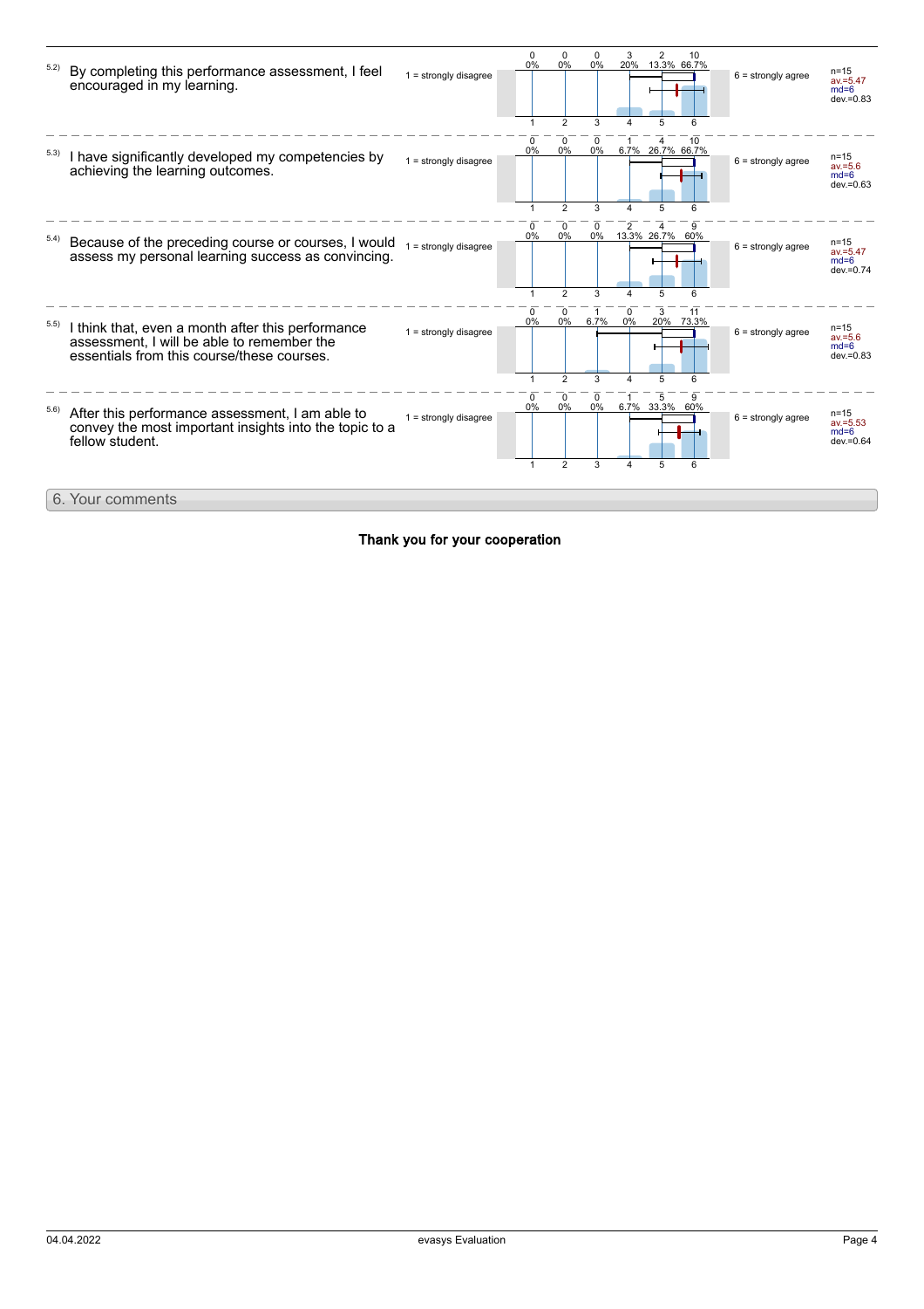

#### Thank you for your cooperation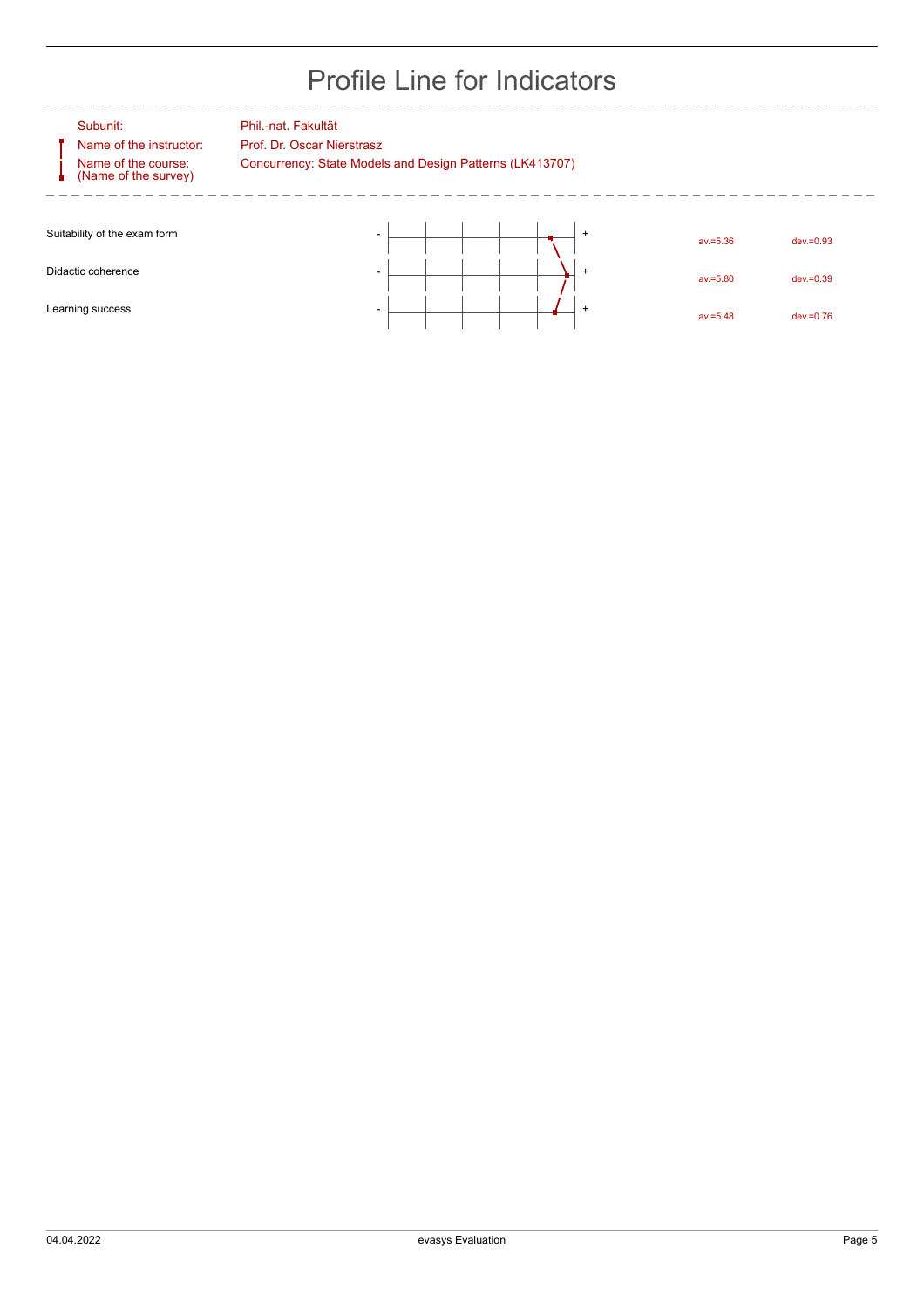## Profile Line for Indicators

Name of the instructor: Prof. Dr. Oscar Nierstrasz Name of the course: (Name of the survey)

Subunit: Phil.-nat. Fakultät

Concurrency: State Models and Design Patterns (LK413707)

| Suitability of the exam form | $\overline{\phantom{0}}$ |  |  | $av = 5.36$ | $dev = 0.93$ |
|------------------------------|--------------------------|--|--|-------------|--------------|
|                              |                          |  |  |             |              |
| Didactic coherence           |                          |  |  | $av = 5.80$ | $dev = 0.39$ |
|                              |                          |  |  |             |              |
| Learning success             |                          |  |  | $av = 5.48$ | $dev = 0.76$ |
|                              |                          |  |  |             |              |

\_\_\_\_\_\_\_\_\_\_\_\_\_\_\_\_\_\_\_\_\_\_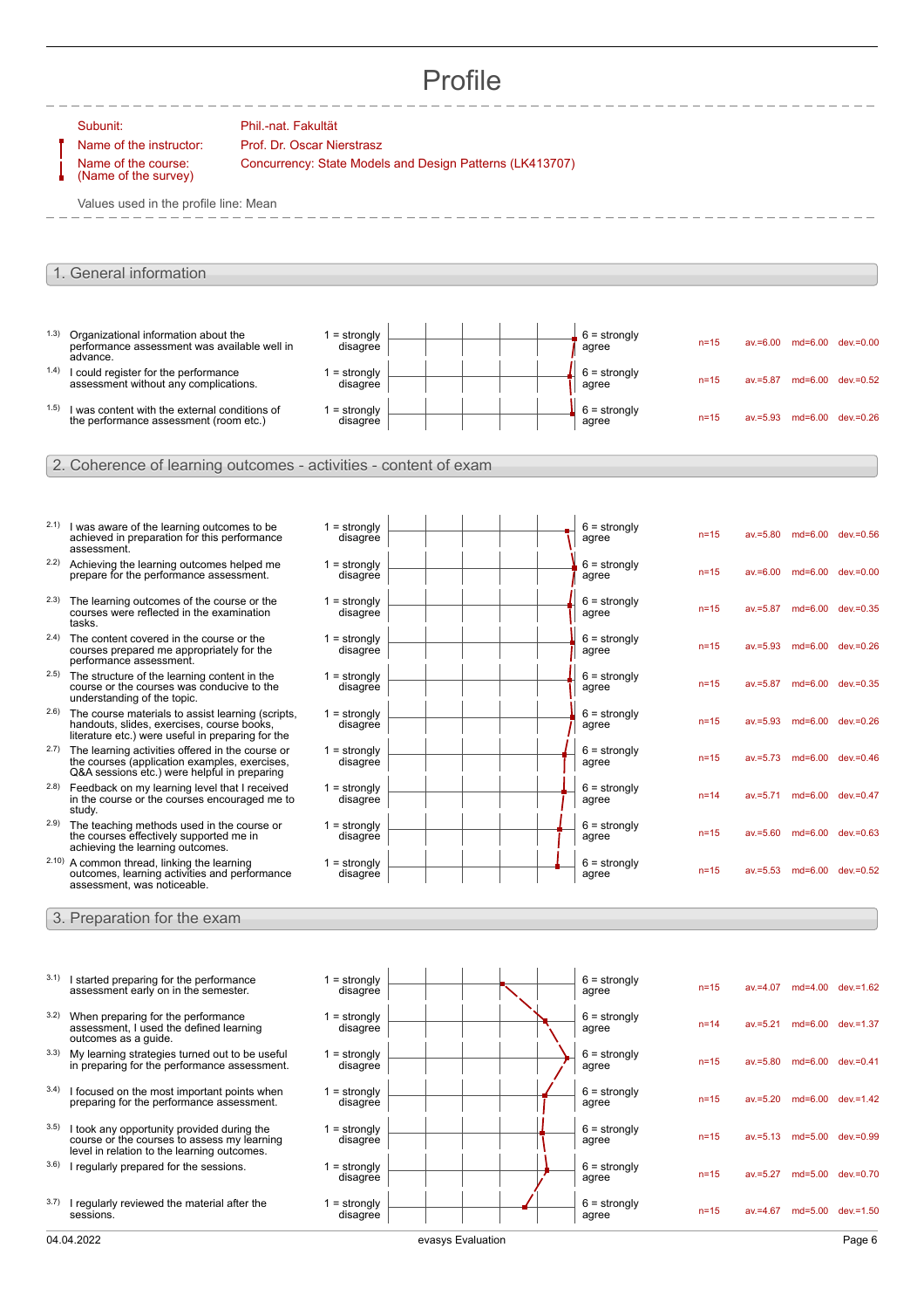## Profile

|       | Subunit:<br>Name of the instructor:                                                                                                                    | Phil.-nat. Fakultät<br>Prof. Dr. Oscar Nierstrasz        |                   |                         |          |             |                            |
|-------|--------------------------------------------------------------------------------------------------------------------------------------------------------|----------------------------------------------------------|-------------------|-------------------------|----------|-------------|----------------------------|
|       | Name of the course:<br>(Name of the survey)                                                                                                            | Concurrency: State Models and Design Patterns (LK413707) |                   |                         |          |             |                            |
|       | Values used in the profile line: Mean                                                                                                                  |                                                          |                   |                         |          |             |                            |
|       |                                                                                                                                                        |                                                          |                   |                         |          |             |                            |
|       | 1. General information                                                                                                                                 |                                                          |                   |                         |          |             |                            |
|       |                                                                                                                                                        |                                                          |                   |                         |          |             |                            |
| (1.3) | Organizational information about the                                                                                                                   | $1 =$ strongly                                           |                   | $6 =$ strongly          |          |             |                            |
|       | performance assessment was available well in<br>advance.                                                                                               | disagree                                                 |                   | agree                   | $n=15$   |             | av.=6.00 md=6.00 dev.=0.00 |
|       | 1.4) I could register for the performance<br>assessment without any complications.                                                                     | $1 =$ strongly<br>disagree                               |                   | $6 =$ strongly<br>agree | $n=15$   | $av = 5.87$ | md=6.00 dev.=0.52          |
| (1.5) | I was content with the external conditions of<br>the performance assessment (room etc.)                                                                | $1 =$ strongly<br>disagree                               |                   | $6 =$ strongly<br>agree | $n=15$   | $av = 5.93$ | md=6.00 dev.=0.26          |
|       |                                                                                                                                                        |                                                          |                   |                         |          |             |                            |
|       | 2. Coherence of learning outcomes - activities - content of exam                                                                                       |                                                          |                   |                         |          |             |                            |
|       |                                                                                                                                                        |                                                          |                   |                         |          |             |                            |
| 2.1)  | I was aware of the learning outcomes to be<br>achieved in preparation for this performance<br>assessment.                                              | $1 =$ strongly<br>disagree                               |                   | $6 =$ strongly<br>agree | $n=15$   | $av = 5.80$ | md=6.00 dev.=0.56          |
|       | 2.2) Achieving the learning outcomes helped me<br>prepare for the performance assessment.                                                              | $1 =$ strongly<br>disagree                               |                   | $6 =$ strongly<br>agree | $n = 15$ | $av = 6.00$ | md=6.00 dev.=0.00          |
| 2.3)  | The learning outcomes of the course or the<br>courses were reflected in the examination<br>tasks.                                                      | $1 =$ strongly<br>disagree                               |                   | $6 =$ strongly<br>agree | $n = 15$ | $av = 5.87$ | md=6.00 dev.=0.35          |
| 2.4)  | The content covered in the course or the<br>courses prepared me appropriately for the<br>performance assessment.                                       | $1 =$ strongly<br>disagree                               |                   | $6 =$ strongly<br>agree | $n = 15$ | $av = 5.93$ | md=6.00 dev.=0.26          |
|       | 2.5) The structure of the learning content in the<br>course or the courses was conducive to the<br>understanding of the topic.                         | $1 =$ strongly<br>disagree                               |                   | $6 =$ strongly<br>agree | $n = 15$ | $av = 5.87$ | md=6.00 dev.=0.35          |
| 2.6)  | The course materials to assist learning (scripts,<br>handouts, slides, exercises, course books,<br>literature etc.) were useful in preparing for the   | $1 =$ strongly<br>disagree                               |                   | $6 =$ strongly<br>agree | $n = 15$ | $av = 5.93$ | md=6.00 dev.=0.26          |
|       | 2.7) The learning activities offered in the course or<br>the courses (application examples, exercises,<br>Q&A sessions etc.) were helpful in preparing | $1 =$ strongly<br>disagree                               |                   | $6 =$ strongly<br>agree | $n = 15$ | $av = 5.73$ | md=6.00 dev.=0.46          |
| (2.8) | Feedback on my learning level that I received<br>in the course or the courses encouraged me to<br>study.                                               | $1 =$ strongly<br>disagree                               |                   | $6 =$ strongly<br>agree | $n = 14$ |             | av.=5.71 md=6.00 dev.=0.47 |
| 2.9)  | The teaching methods used in the course or<br>the courses effectively supported me in<br>achieving the learning outcomes.                              | $1 =$ strongly<br>disagree                               |                   | $6 =$ strongly<br>agree | $n = 15$ |             | av.=5.60 md=6.00 dev.=0.63 |
|       | 2.10) A common thread, linking the learning<br>outcomes, learning activities and performance<br>assessment, was noticeable.                            | $1 =$ strongly<br>disagree                               |                   | $6 =$ strongly<br>agree | $n=15$   |             | av.=5.53 md=6.00 dev.=0.52 |
|       | 3. Preparation for the exam                                                                                                                            |                                                          |                   |                         |          |             |                            |
|       |                                                                                                                                                        |                                                          |                   |                         |          |             |                            |
| 3.1)  | I started preparing for the performance<br>assessment early on in the semester.                                                                        | $1 =$ strongly<br>disagree                               |                   | $6 =$ strongly<br>agree | $n = 15$ |             | av.=4.07 md=4.00 dev.=1.62 |
| 3.2)  | When preparing for the performance<br>assessment, I used the defined learning                                                                          | $1 =$ strongly<br>disagree                               |                   | $6 =$ strongly<br>agree | $n = 14$ | $av = 5.21$ | md=6.00 dev.=1.37          |
| 3.3)  | outcomes as a guide.<br>My learning strategies turned out to be useful<br>in preparing for the performance assessment.                                 | $1 =$ strongly<br>disagree                               |                   | $6 =$ strongly<br>agree | $n = 15$ | $av = 5.80$ | md=6.00 dev.=0.41          |
| 3.4)  | I focused on the most important points when<br>preparing for the performance assessment.                                                               | $1 =$ strongly<br>disagree                               |                   | $6 =$ strongly<br>agree | $n = 15$ | $av = 5.20$ | md=6.00 dev.=1.42          |
| 3.5)  | I took any opportunity provided during the<br>course or the courses to assess my learning<br>level in relation to the learning outcomes.               | $1 =$ strongly<br>disagree                               |                   | $6 =$ strongly<br>agree | $n = 15$ | $av = 5.13$ | md=5.00 dev.=0.99          |
|       | 3.6) I regularly prepared for the sessions.                                                                                                            | $1 =$ strongly<br>disagree                               |                   | $6 =$ strongly<br>agree | $n = 15$ | $av = 5.27$ | md=5.00 dev.=0.70          |
| 3.7)  | I regularly reviewed the material after the<br>sessions.                                                                                               | $1 =$ strongly<br>disagree                               |                   | $6 =$ strongly<br>agree | $n = 15$ |             | av.=4.67 md=5.00 dev.=1.50 |
|       | 04.04.2022                                                                                                                                             |                                                          | evasys Evaluation |                         |          |             | Page 6                     |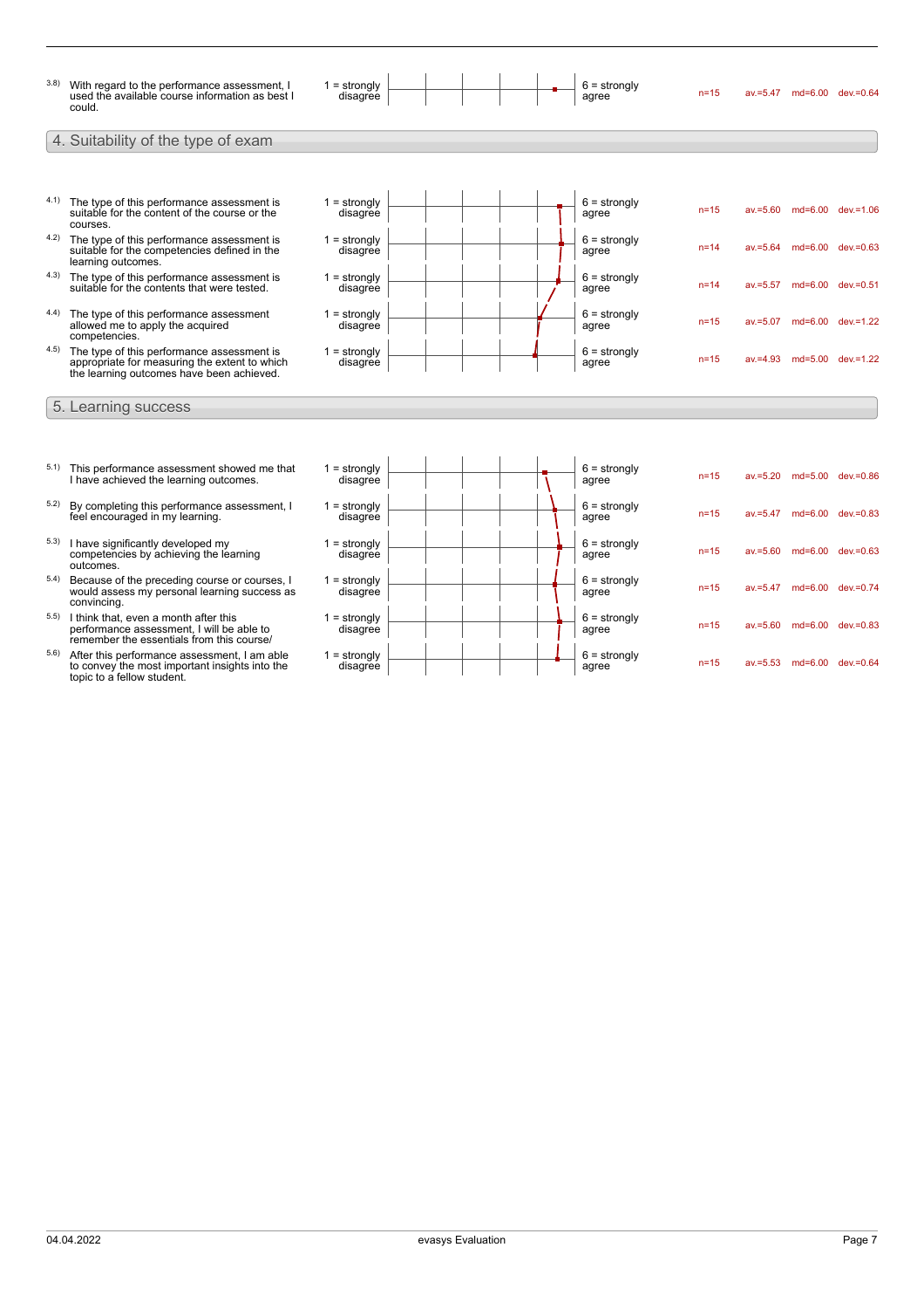

- $5.3$ ) I have significantly developed my competencies by achieving the learning outcomes.
- 5.4) Because of the preceding course or courses, I would assess my personal learning success as convincing.
- 5.5) I think that, even a month after this performance assessment, I will be able to remember the essentials from this course/
- 5.6) After this performance assessment, I am able to convey the most important insights into the topic to a fellow student.

| = strongly<br>disagree     |  | $b =$ strongly<br>agree | $n=15$   | $av = 5.20$ | $md=5.00$ | $dev = 0.86$ |
|----------------------------|--|-------------------------|----------|-------------|-----------|--------------|
| $1 =$ strongly<br>disagree |  | $6 =$ strongly<br>agree | $n=15$   | $av = 5.47$ | $md=6.00$ | $dev = 0.83$ |
| $1 =$ strongly<br>disagree |  | $6 =$ strongly<br>agree | $n=15$   | $av = 5.60$ | $md=6.00$ | $dev = 0.63$ |
| $1 =$ strongly<br>disagree |  | $6 =$ strongly<br>agree | $n=15$   | $av = 5.47$ | $md=6.00$ | $dev = 0.74$ |
| $1 =$ strongly<br>disagree |  | $6 =$ strongly<br>agree | $n=15$   | $av = 5.60$ | $md=6.00$ | $dev = 0.83$ |
| $1 =$ strongly<br>disagree |  | $6 =$ strongly<br>agree | $n = 15$ | $av = 5.53$ | $md=6.00$ | $dev = 0.64$ |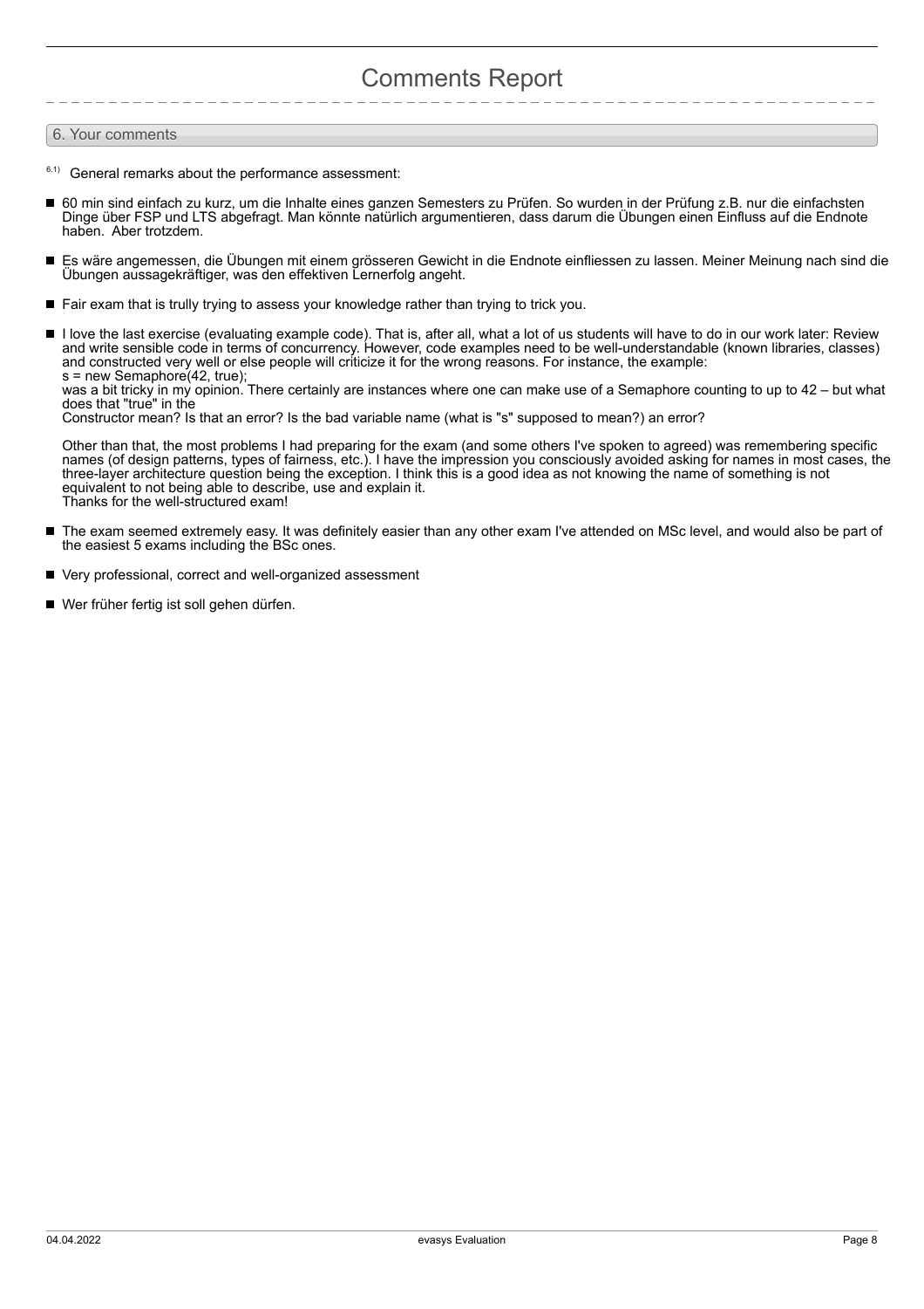## Comments Report

#### 6. Your comments

- $6.1)$  General remarks about the performance assessment:
- 60 min sind einfach zu kurz, um die Inhalte eines ganzen Semesters zu Prüfen. So wurden in der Prüfung z.B. nur die einfachsten Dinge über FSP und LTS abgefragt. Man könnte natürlich argumentieren, dass darum die Übungen einen Einfluss auf die Endnote haben. Aber trotzdem.
- $\blacksquare$ Es wäre angemessen, die Übungen mit einem grösseren Gewicht in die Endnote einfliessen zu lassen. Meiner Meinung nach sind die Übungen aussagekräftiger, was den effektiven Lernerfolg angeht.
- Fair exam that is trully trying to assess your knowledge rather than trying to trick you.
- I love the last exercise (evaluating example code). That is, after all, what a lot of us students will have to do in our work later: Review and write sensible code in terms of concurrency. However, code examples need to be well-understandable (known libraries, classes) and constructed very well or else people will criticize it for the wrong reasons. For instance, the example: s = new Semaphore(42, true);

was a bit tricky in my opinion. There certainly are instances where one can make use of a Semaphore counting to up to 42 – but what does that "true" in the

Constructor mean? Is that an error? Is the bad variable name (what is "s" supposed to mean?) an error?

Other than that, the most problems I had preparing for the exam (and some others I've spoken to agreed) was remembering specific names (of design patterns, types of fairness, etc.). I have the impression you consciously avoided asking for names in most cases, the three-layer architecture question being the exception. I think this is a good idea as not knowing the name of something is not equivalent to not being able to describe, use and explain it. Thanks for the well-structured exam!

- The exam seemed extremely easy. It was definitely easier than any other exam I've attended on MSc level, and would also be part of  $\blacksquare$ the easiest 5 exams including the BSc ones.
- $\blacksquare$ Very professional, correct and well-organized assessment
- Wer früher fertig ist soll gehen dürfen.